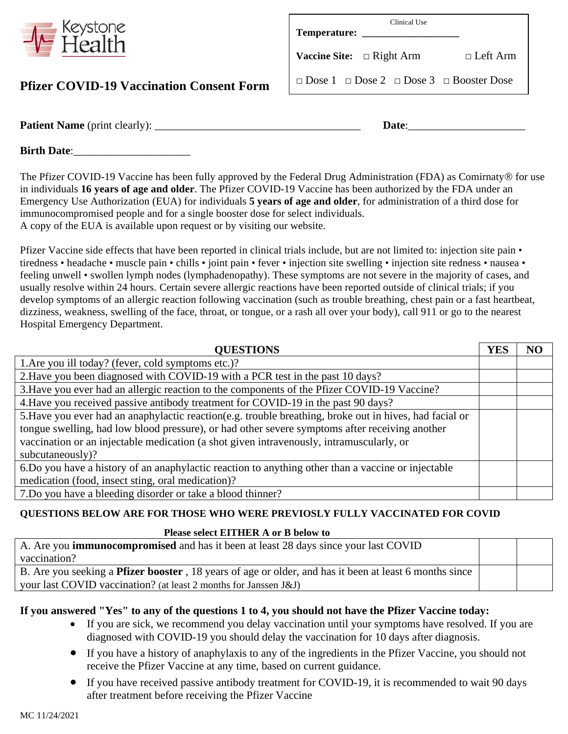

## **Pfizer COVID-19 Vaccination Consent Form**

| Clinical Use<br>Temperature:                                  |                 |
|---------------------------------------------------------------|-----------------|
| <b>Vaccine Site:</b> $\Box$ Right Arm                         | $\Box$ Left Arm |
| $\Box$ Dose 1 $\Box$ Dose 2 $\Box$ Dose 3 $\Box$ Booster Dose |                 |

**Patient Name** (print clearly): \_\_\_\_\_\_\_\_\_\_\_\_\_\_\_\_\_\_\_\_\_\_\_\_\_\_\_\_\_\_\_\_\_\_\_\_\_ **Date**:\_\_\_\_\_\_\_\_\_\_\_\_\_\_\_\_\_\_\_\_\_

**Birth Date**:

The Pfizer COVID-19 Vaccine has been fully approved by the Federal Drug Administration (FDA) as Comirnaty® for use in individuals **16 years of age and older**. The Pfizer COVID-19 Vaccine has been authorized by the FDA under an Emergency Use Authorization (EUA) for individuals **5 years of age and older**, for administration of a third dose for immunocompromised people and for a single booster dose for select individuals. A copy of the EUA is available upon request or by visiting our website.

Pfizer Vaccine side effects that have been reported in clinical trials include, but are not limited to: injection site pain • tiredness • headache • muscle pain • chills • joint pain • fever • injection site swelling • injection site redness • nausea • feeling unwell • swollen lymph nodes (lymphadenopathy). These symptoms are not severe in the majority of cases, and usually resolve within 24 hours. Certain severe allergic reactions have been reported outside of clinical trials; if you develop symptoms of an allergic reaction following vaccination (such as trouble breathing, chest pain or a fast heartbeat, dizziness, weakness, swelling of the face, throat, or tongue, or a rash all over your body), call 911 or go to the nearest Hospital Emergency Department.

| <b>QUESTIONS</b>                                                                                         | YES | N <sub>C</sub> |
|----------------------------------------------------------------------------------------------------------|-----|----------------|
| 1. Are you ill today? (fever, cold symptoms etc.)?                                                       |     |                |
| 2. Have you been diagnosed with COVID-19 with a PCR test in the past 10 days?                            |     |                |
| 3. Have you ever had an allergic reaction to the components of the Pfizer COVID-19 Vaccine?              |     |                |
| 4. Have you received passive antibody treatment for COVID-19 in the past 90 days?                        |     |                |
| 5. Have you ever had an anaphylactic reaction (e.g. trouble breathing, broke out in hives, had facial or |     |                |
| tongue swelling, had low blood pressure), or had other severe symptoms after receiving another           |     |                |
| vaccination or an injectable medication (a shot given intravenously, intramuscularly, or                 |     |                |
| subcutaneously)?                                                                                         |     |                |
| 6. Do you have a history of an anaphylactic reaction to anything other than a vaccine or injectable      |     |                |
| medication (food, insect sting, oral medication)?                                                        |     |                |
| 7. Do you have a bleeding disorder or take a blood thinner?                                              |     |                |

## **QUESTIONS BELOW ARE FOR THOSE WHO WERE PREVIOSLY FULLY VACCINATED FOR COVID**

#### **Please select EITHER A or B below to**

| A. Are you <b>immunocompromised</b> and has it been at least 28 days since your last COVID                     |  |  |
|----------------------------------------------------------------------------------------------------------------|--|--|
| vaccination?                                                                                                   |  |  |
| B. Are you seeking a <b>Pfizer booster</b> , 18 years of age or older, and has it been at least 6 months since |  |  |
| your last COVID vaccination? (at least 2 months for Janssen J&J)                                               |  |  |

## **If you answered "Yes" to any of the questions 1 to 4, you should not have the Pfizer Vaccine today:**

- If you are sick, we recommend you delay vaccination until your symptoms have resolved. If you are diagnosed with COVID-19 you should delay the vaccination for 10 days after diagnosis.
- If you have a history of anaphylaxis to any of the ingredients in the Pfizer Vaccine, you should not receive the Pfizer Vaccine at any time, based on current guidance.
- If you have received passive antibody treatment for COVID-19, it is recommended to wait 90 days after treatment before receiving the Pfizer Vaccine